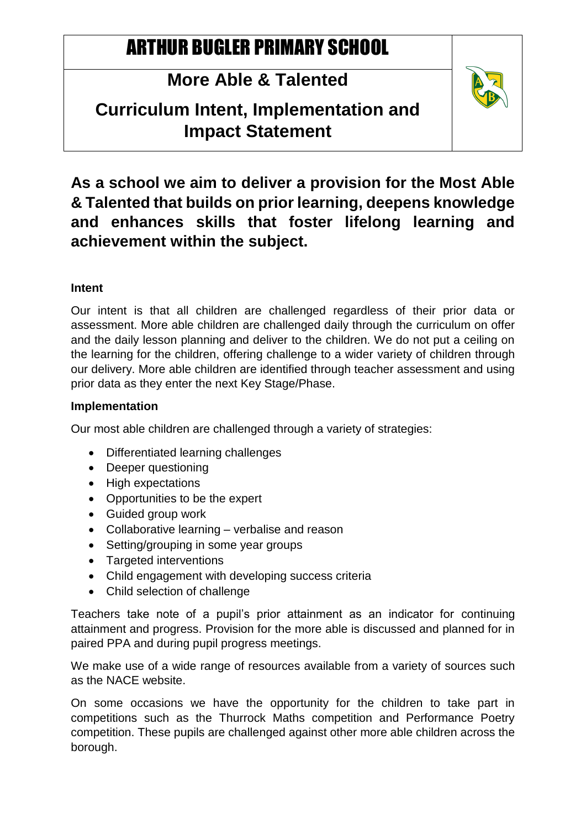# ARTHUR BUGLER PRIMARY SCHOOL

## **More Able & Talented**

### **Curriculum Intent, Implementation and Impact Statement**



**As a school we aim to deliver a provision for the Most Able & Talented that builds on prior learning, deepens knowledge and enhances skills that foster lifelong learning and achievement within the subject.**

#### **Intent**

Our intent is that all children are challenged regardless of their prior data or assessment. More able children are challenged daily through the curriculum on offer and the daily lesson planning and deliver to the children. We do not put a ceiling on the learning for the children, offering challenge to a wider variety of children through our delivery. More able children are identified through teacher assessment and using prior data as they enter the next Key Stage/Phase.

#### **Implementation**

Our most able children are challenged through a variety of strategies:

- Differentiated learning challenges
- Deeper questioning
- High expectations
- Opportunities to be the expert
- Guided group work
- Collaborative learning verbalise and reason
- Setting/grouping in some year groups
- Targeted interventions
- Child engagement with developing success criteria
- Child selection of challenge

Teachers take note of a pupil's prior attainment as an indicator for continuing attainment and progress. Provision for the more able is discussed and planned for in paired PPA and during pupil progress meetings.

We make use of a wide range of resources available from a variety of sources such as the NACE website.

On some occasions we have the opportunity for the children to take part in competitions such as the Thurrock Maths competition and Performance Poetry competition. These pupils are challenged against other more able children across the borough.